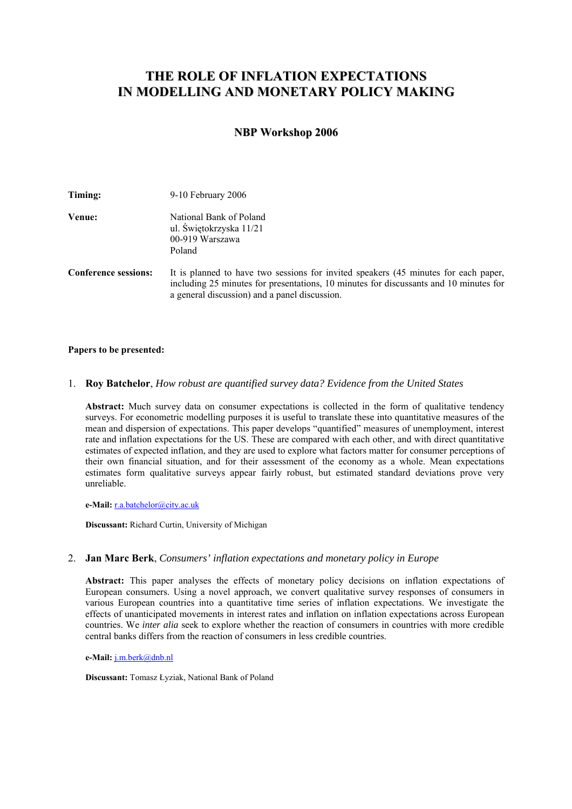# **THE ROLE OF INFLATION EXPECTATIONS IN MODELLING AND MONETARY POLICY MAKING**

# **NBP Workshop 2006**

| Timing:                     | 9-10 February 2006                                                                                                                                                                                                            |
|-----------------------------|-------------------------------------------------------------------------------------------------------------------------------------------------------------------------------------------------------------------------------|
| Venue:                      | National Bank of Poland<br>ul. Świętokrzyska 11/21<br>00-919 Warszawa<br>Poland                                                                                                                                               |
| <b>Conference sessions:</b> | It is planned to have two sessions for invited speakers (45 minutes for each paper,<br>including 25 minutes for presentations, 10 minutes for discussants and 10 minutes for<br>a general discussion) and a panel discussion. |

#### **Papers to be presented:**

### 1. **Roy Batchelor**, *How robust are quantified survey data? Evidence from the United States*

**Abstract:** Much survey data on consumer expectations is collected in the form of qualitative tendency surveys. For econometric modelling purposes it is useful to translate these into quantitative measures of the mean and dispersion of expectations. This paper develops "quantified" measures of unemployment, interest rate and inflation expectations for the US. These are compared with each other, and with direct quantitative estimates of expected inflation, and they are used to explore what factors matter for consumer perceptions of their own financial situation, and for their assessment of the economy as a whole. Mean expectations estimates form qualitative surveys appear fairly robust, but estimated standard deviations prove very unreliable.

**e-Mail:** r.a.batchelor@city.ac.uk

**Discussant:** Richard Curtin, University of Michigan

## 2. **Jan Marc Berk**, *Consumers' inflation expectations and monetary policy in Europe*

**Abstract:** This paper analyses the effects of monetary policy decisions on inflation expectations of European consumers. Using a novel approach, we convert qualitative survey responses of consumers in various European countries into a quantitative time series of inflation expectations. We investigate the effects of unanticipated movements in interest rates and inflation on inflation expectations across European countries. We *inter alia* seek to explore whether the reaction of consumers in countries with more credible central banks differs from the reaction of consumers in less credible countries.

**e-Mail:** j.m.berk@dnb.nl

**Discussant:** Tomasz Łyziak, National Bank of Poland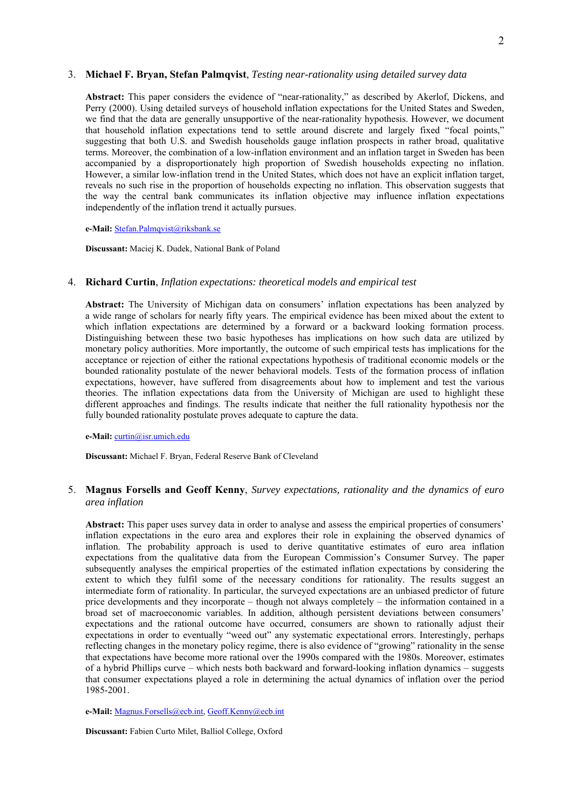#### 3. **Michael F. Bryan, Stefan Palmqvist**, *Testing near-rationality using detailed survey data*

**Abstract:** This paper considers the evidence of "near-rationality," as described by Akerlof, Dickens, and Perry (2000). Using detailed surveys of household inflation expectations for the United States and Sweden, we find that the data are generally unsupportive of the near-rationality hypothesis. However, we document that household inflation expectations tend to settle around discrete and largely fixed "focal points," suggesting that both U.S. and Swedish households gauge inflation prospects in rather broad, qualitative terms. Moreover, the combination of a low-inflation environment and an inflation target in Sweden has been accompanied by a disproportionately high proportion of Swedish households expecting no inflation. However, a similar low-inflation trend in the United States, which does not have an explicit inflation target, reveals no such rise in the proportion of households expecting no inflation. This observation suggests that the way the central bank communicates its inflation objective may influence inflation expectations independently of the inflation trend it actually pursues.

#### **e-Mail:** Stefan.Palmqvist@riksbank.se

**Discussant:** Maciej K. Dudek, National Bank of Poland

### 4. **Richard Curtin**, *Inflation expectations: theoretical models and empirical test*

**Abstract:** The University of Michigan data on consumers' inflation expectations has been analyzed by a wide range of scholars for nearly fifty years. The empirical evidence has been mixed about the extent to which inflation expectations are determined by a forward or a backward looking formation process. Distinguishing between these two basic hypotheses has implications on how such data are utilized by monetary policy authorities. More importantly, the outcome of such empirical tests has implications for the acceptance or rejection of either the rational expectations hypothesis of traditional economic models or the bounded rationality postulate of the newer behavioral models. Tests of the formation process of inflation expectations, however, have suffered from disagreements about how to implement and test the various theories. The inflation expectations data from the University of Michigan are used to highlight these different approaches and findings. The results indicate that neither the full rationality hypothesis nor the fully bounded rationality postulate proves adequate to capture the data.

#### **e-Mail:** curtin@isr.umich.edu

**Discussant:** Michael F. Bryan, Federal Reserve Bank of Cleveland

# 5. **Magnus Forsells and Geoff Kenny**, *Survey expectations, rationality and the dynamics of euro area inflation*

Abstract: This paper uses survey data in order to analyse and assess the empirical properties of consumers' inflation expectations in the euro area and explores their role in explaining the observed dynamics of inflation. The probability approach is used to derive quantitative estimates of euro area inflation expectations from the qualitative data from the European Commission's Consumer Survey. The paper subsequently analyses the empirical properties of the estimated inflation expectations by considering the extent to which they fulfil some of the necessary conditions for rationality. The results suggest an intermediate form of rationality. In particular, the surveyed expectations are an unbiased predictor of future price developments and they incorporate – though not always completely – the information contained in a broad set of macroeconomic variables. In addition, although persistent deviations between consumers' expectations and the rational outcome have occurred, consumers are shown to rationally adjust their expectations in order to eventually "weed out" any systematic expectational errors. Interestingly, perhaps reflecting changes in the monetary policy regime, there is also evidence of "growing" rationality in the sense that expectations have become more rational over the 1990s compared with the 1980s. Moreover, estimates of a hybrid Phillips curve – which nests both backward and forward-looking inflation dynamics – suggests that consumer expectations played a role in determining the actual dynamics of inflation over the period 1985-2001.

**e-Mail:** Magnus.Forsells@ecb.int, Geoff.Kenny@ecb.int

**Discussant:** Fabien Curto Milet, Balliol College, Oxford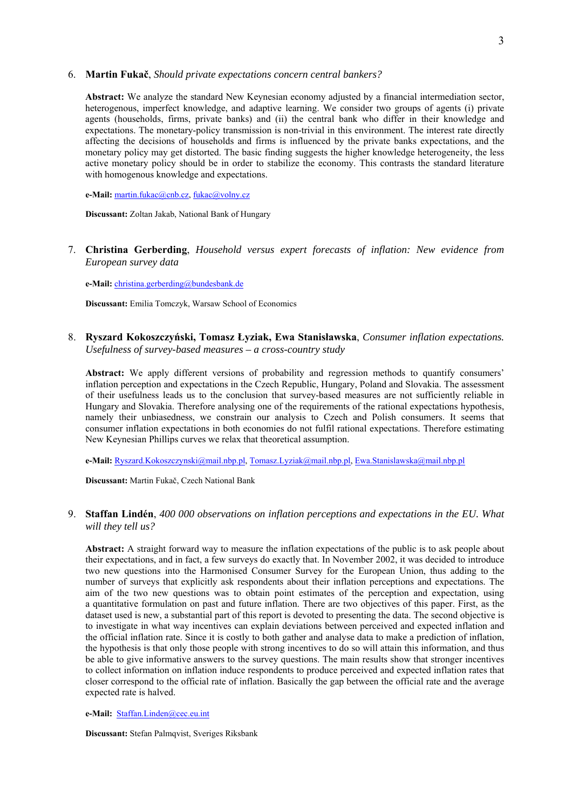#### 6. **Martin Fukač**, *Should private expectations concern central bankers?*

**Abstract:** We analyze the standard New Keynesian economy adjusted by a financial intermediation sector, heterogenous, imperfect knowledge, and adaptive learning. We consider two groups of agents (i) private agents (households, firms, private banks) and (ii) the central bank who differ in their knowledge and expectations. The monetary-policy transmission is non-trivial in this environment. The interest rate directly affecting the decisions of households and firms is influenced by the private banks expectations, and the monetary policy may get distorted. The basic finding suggests the higher knowledge heterogeneity, the less active monetary policy should be in order to stabilize the economy. This contrasts the standard literature with homogenous knowledge and expectations.

**e-Mail:** martin.fukac@cnb.cz, fukac@volny.cz

**Discussant:** Zoltan Jakab, National Bank of Hungary

7. **Christina Gerberding**, *Household versus expert forecasts of inflation: New evidence from European survey data*

**e-Mail:** christina.gerberding@bundesbank.de

**Discussant:** Emilia Tomczyk, Warsaw School of Economics

8. **Ryszard Kokoszczyński, Tomasz Łyziak, Ewa Stanisławska**, *Consumer inflation expectations. Usefulness of survey-based measures – a cross-country study*

Abstract: We apply different versions of probability and regression methods to quantify consumers' inflation perception and expectations in the Czech Republic, Hungary, Poland and Slovakia. The assessment of their usefulness leads us to the conclusion that survey-based measures are not sufficiently reliable in Hungary and Slovakia. Therefore analysing one of the requirements of the rational expectations hypothesis, namely their unbiasedness, we constrain our analysis to Czech and Polish consumers. It seems that consumer inflation expectations in both economies do not fulfil rational expectations. Therefore estimating New Keynesian Phillips curves we relax that theoretical assumption.

**e-Mail:** Ryszard.Kokoszczynski@mail.nbp.pl, Tomasz.Lyziak@mail.nbp.pl, Ewa.Stanislawska@mail.nbp.pl

**Discussant:** Martin Fukač, Czech National Bank

# 9. **Staffan Lindén**, *400 000 observations on inflation perceptions and expectations in the EU. What will they tell us?*

**Abstract:** A straight forward way to measure the inflation expectations of the public is to ask people about their expectations, and in fact, a few surveys do exactly that. In November 2002, it was decided to introduce two new questions into the Harmonised Consumer Survey for the European Union, thus adding to the number of surveys that explicitly ask respondents about their inflation perceptions and expectations. The aim of the two new questions was to obtain point estimates of the perception and expectation, using a quantitative formulation on past and future inflation. There are two objectives of this paper. First, as the dataset used is new, a substantial part of this report is devoted to presenting the data. The second objective is to investigate in what way incentives can explain deviations between perceived and expected inflation and the official inflation rate. Since it is costly to both gather and analyse data to make a prediction of inflation, the hypothesis is that only those people with strong incentives to do so will attain this information, and thus be able to give informative answers to the survey questions. The main results show that stronger incentives to collect information on inflation induce respondents to produce perceived and expected inflation rates that closer correspond to the official rate of inflation. Basically the gap between the official rate and the average expected rate is halved.

#### **e-Mail:** Staffan.Linden@cec.eu.int

**Discussant:** Stefan Palmqvist, Sveriges Riksbank